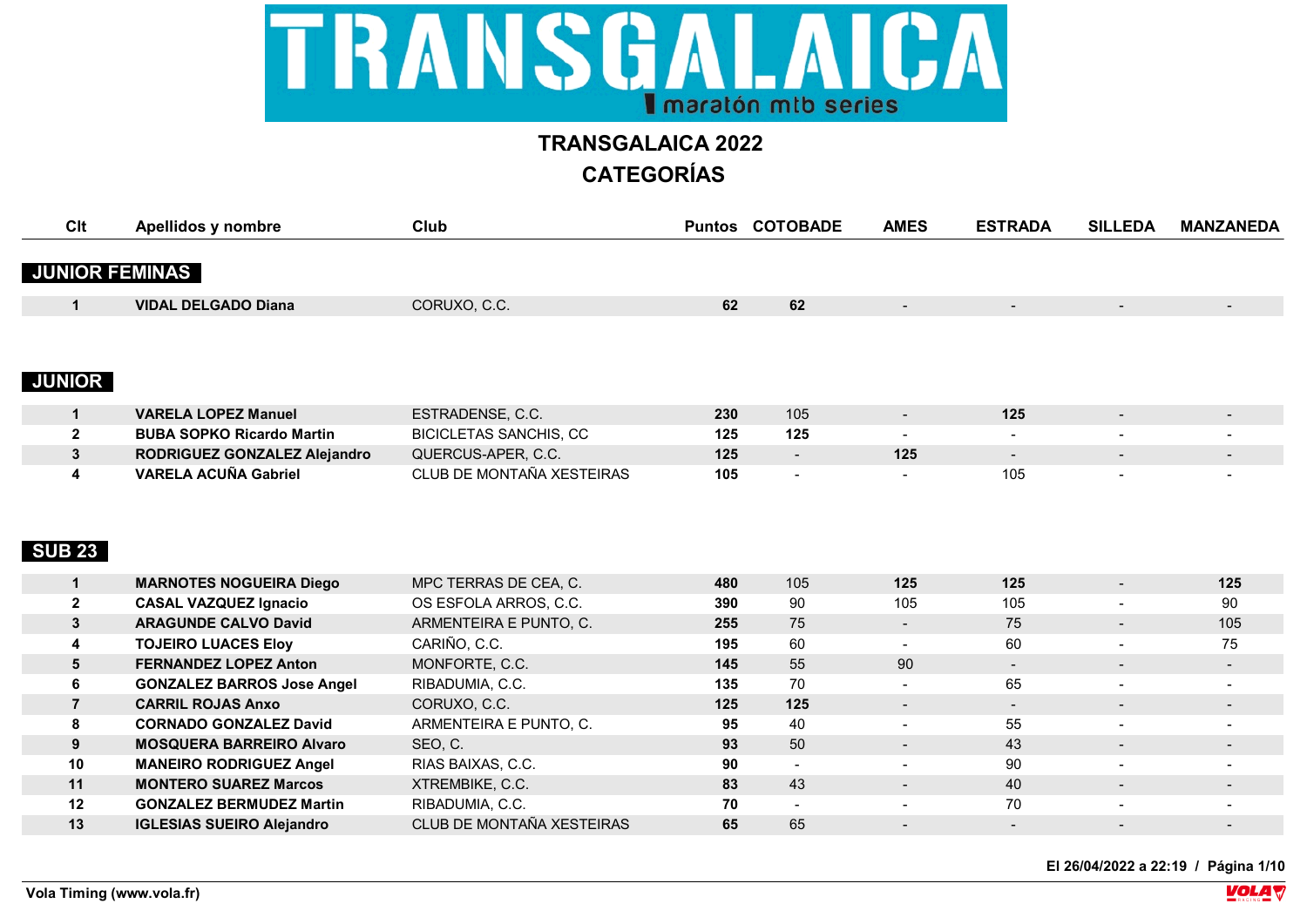

| Clt            | Apellidos y nombre                | Club                          |     | <b>Puntos COTOBADE</b> | <b>AMES</b>    | <b>ESTRADA</b> | <b>SILLEDA</b>           | <b>MANZANEDA</b> |
|----------------|-----------------------------------|-------------------------------|-----|------------------------|----------------|----------------|--------------------------|------------------|
|                |                                   |                               |     |                        |                |                |                          |                  |
|                | <b>JUNIOR FEMINAS</b>             |                               |     |                        |                |                |                          |                  |
| $\mathbf 1$    | <b>VIDAL DELGADO Diana</b>        | CORUXO, C.C.                  | 62  | 62                     |                |                |                          |                  |
|                |                                   |                               |     |                        |                |                |                          |                  |
|                |                                   |                               |     |                        |                |                |                          |                  |
| <b>JUNIOR</b>  |                                   |                               |     |                        |                |                |                          |                  |
| $\mathbf 1$    | <b>VARELA LOPEZ Manuel</b>        | ESTRADENSE, C.C.              | 230 | 105                    | $\sim$         | 125            | $\overline{\phantom{a}}$ |                  |
| $\mathbf{2}$   | <b>BUBA SOPKO Ricardo Martin</b>  | <b>BICICLETAS SANCHIS, CC</b> | 125 | 125                    | $\blacksquare$ | $\blacksquare$ |                          |                  |
| 3              | RODRIGUEZ GONZALEZ Alejandro      | QUERCUS-APER, C.C.            | 125 | $\sim$                 | 125            | $\blacksquare$ |                          |                  |
| 4              | <b>VARELA ACUÑA Gabriel</b>       | CLUB DE MONTAÑA XESTEIRAS     | 105 |                        |                | 105            |                          |                  |
|                |                                   |                               |     |                        |                |                |                          |                  |
|                |                                   |                               |     |                        |                |                |                          |                  |
|                |                                   |                               |     |                        |                |                |                          |                  |
| <b>SUB 23</b>  |                                   |                               |     |                        |                |                |                          |                  |
|                |                                   |                               |     |                        |                |                |                          |                  |
| $\mathbf{1}$   | <b>MARNOTES NOGUEIRA Diego</b>    | MPC TERRAS DE CEA, C.         | 480 | 105                    | 125            | 125            | $\blacksquare$           | 125              |
| $\mathbf 2$    | <b>CASAL VAZQUEZ Ignacio</b>      | OS ESFOLA ARROS, C.C.         | 390 | 90                     | 105            | 105            |                          | 90               |
| 3              | <b>ARAGUNDE CALVO David</b>       | ARMENTEIRA E PUNTO, C.        | 255 | 75                     | $\blacksquare$ | 75             | $\blacksquare$           | 105              |
| 4              | <b>TOJEIRO LUACES Eloy</b>        | CARIÑO, C.C.                  | 195 | 60                     | $\sim$         | 60             | $\overline{\phantom{a}}$ | 75               |
| 5              | <b>FERNANDEZ LOPEZ Anton</b>      | MONFORTE, C.C.                | 145 | 55                     | 90             | $\sim$         | $\overline{\phantom{a}}$ | $\blacksquare$   |
| 6              | <b>GONZALEZ BARROS Jose Angel</b> | RIBADUMIA, C.C.               | 135 | 70                     | $\blacksquare$ | 65             |                          |                  |
| $\overline{7}$ | <b>CARRIL ROJAS Anxo</b>          | CORUXO, C.C.                  | 125 | 125                    | $\sim$         | $\sim$         | $\overline{\phantom{a}}$ | $\sim$           |
| 8              | <b>CORNADO GONZALEZ David</b>     | ARMENTEIRA E PUNTO, C.        | 95  | 40                     |                | 55             |                          |                  |
| 9              | <b>MOSQUERA BARREIRO Alvaro</b>   | SEO, C.                       | 93  | 50                     | $\blacksquare$ | 43             | $\blacksquare$           | $\sim$           |
| 10             | <b>MANEIRO RODRIGUEZ Angel</b>    | RIAS BAIXAS, C.C.             | 90  |                        |                | 90             |                          |                  |
| 11             | <b>MONTERO SUAREZ Marcos</b>      | XTREMBIKE, C.C.               | 83  | 43                     | $\sim$         | 40             | $\overline{\phantom{a}}$ | $\sim$           |
| 12             | <b>GONZALEZ BERMUDEZ Martin</b>   | RIBADUMIA, C.C.               | 70  |                        |                | 70             |                          |                  |
| 13             | <b>IGLESIAS SUEIRO Alejandro</b>  | CLUB DE MONTAÑA XESTEIRAS     | 65  | 65                     |                |                |                          |                  |
|                |                                   |                               |     |                        |                |                |                          |                  |

**El 26/04/2022 a 22:19 / Página 1/10**

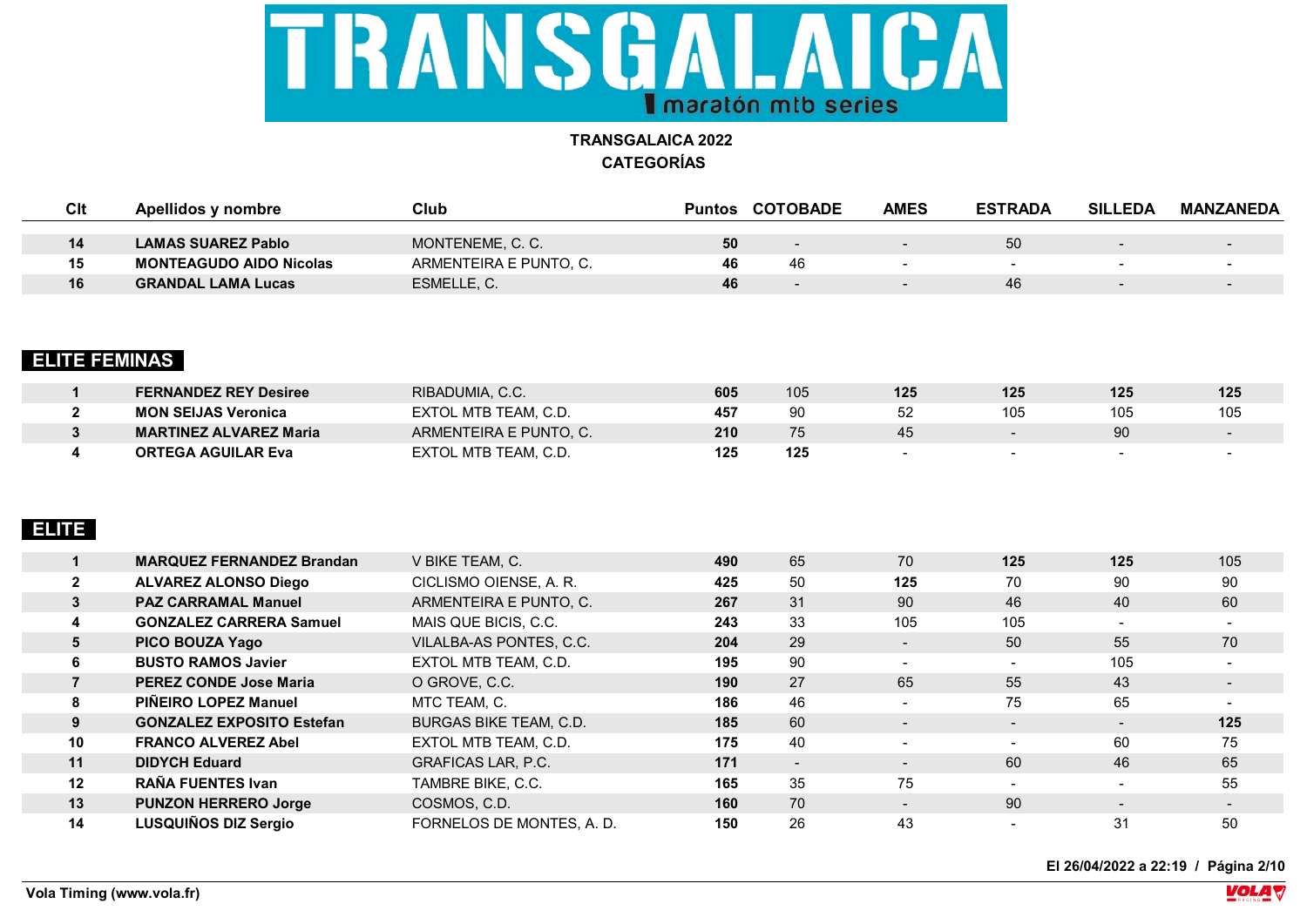

| Clt | Apellidos y nombre             | Club                   | Puntos | <b>COTOBADE</b> | <b>AMES</b> | <b>ESTRADA</b> | <b>SILLEDA</b>           | MANZANEDA |
|-----|--------------------------------|------------------------|--------|-----------------|-------------|----------------|--------------------------|-----------|
|     |                                |                        |        |                 |             |                |                          |           |
| 14  | <b>LAMAS SUAREZ Pablo</b>      | MONTENEME, C. C.       | 50     |                 | $\sim$      | 50             | $\overline{\phantom{a}}$ | $\sim$    |
| 15  | <b>MONTEAGUDO AIDO Nicolas</b> | ARMENTEIRA E PUNTO, C. | 46     | 46              |             |                |                          |           |
| 16  | <b>GRANDAL LAMA Lucas</b>      | ESMELLE, C.            | 46     |                 | $\sim$      | 46             | $\overline{\phantom{a}}$ | $\sim$    |
|     |                                |                        |        |                 |             |                |                          |           |

## **ELITE FEMINAS**

| <b>FERNANDEZ REY Desiree</b>  | RIBADUMIA, C.C.        | 605 | 105 | 125 | 125 | 125 | 125 |
|-------------------------------|------------------------|-----|-----|-----|-----|-----|-----|
| <b>MON SEIJAS Veronica</b>    | EXTOL MTB TEAM. C.D.   | 457 | 90  | 52  | 105 | 105 | 105 |
| <b>MARTINEZ ALVAREZ Maria</b> | ARMENTEIRA E PUNTO, C. | 210 | 75  | 45  |     | 90  |     |
| <b>ORTEGA AGUILAR Eva</b>     | EXTOL MTB TEAM. C.D.   | 125 | 125 |     |     |     |     |

## **ELITE**

|              | <b>MARQUEZ FERNANDEZ Brandan</b> | V BIKE TEAM, C.               | 490 | 65     | 70                       | 125                      | 125                      | 105                      |
|--------------|----------------------------------|-------------------------------|-----|--------|--------------------------|--------------------------|--------------------------|--------------------------|
| $\mathbf{2}$ | <b>ALVAREZ ALONSO Diego</b>      | CICLISMO OIENSE, A. R.        | 425 | 50     | 125                      | 70                       | 90                       | 90                       |
| 3            | <b>PAZ CARRAMAL Manuel</b>       | ARMENTEIRA E PUNTO, C.        | 267 | 31     | 90                       | 46                       | 40                       | 60                       |
| 4            | <b>GONZALEZ CARRERA Samuel</b>   | MAIS QUE BICIS, C.C.          | 243 | 33     | 105                      | 105                      | $\sim$                   | $\overline{\phantom{0}}$ |
| 5            | PICO BOUZA Yago                  | VILALBA-AS PONTES, C.C.       | 204 | 29     | $\blacksquare$           | 50                       | 55                       | 70                       |
| 6            | <b>BUSTO RAMOS Javier</b>        | EXTOL MTB TEAM, C.D.          | 195 | 90     | $\sim$                   | $\overline{\phantom{0}}$ | 105                      | $\overline{\phantom{0}}$ |
|              | <b>PEREZ CONDE Jose Maria</b>    | O GROVE, C.C.                 | 190 | 27     | 65                       | 55                       | 43                       | $\blacksquare$           |
| 8            | PIÑEIRO LOPEZ Manuel             | MTC TEAM, C.                  | 186 | 46     | $\sim$                   | 75                       | 65                       | $\sim$                   |
| 9            | <b>GONZALEZ EXPOSITO Estefan</b> | <b>BURGAS BIKE TEAM, C.D.</b> | 185 | 60     | $\blacksquare$           | $\overline{\phantom{a}}$ | $\blacksquare$           | 125                      |
| 10           | <b>FRANCO ALVEREZ Abel</b>       | EXTOL MTB TEAM, C.D.          | 175 | 40     | $\overline{\phantom{0}}$ | $\overline{\phantom{0}}$ | 60                       | 75                       |
| 11           | <b>DIDYCH Eduard</b>             | <b>GRAFICAS LAR, P.C.</b>     | 171 | $\sim$ | $\blacksquare$           | 60                       | 46                       | 65                       |
| 12           | <b>RAÑA FUENTES Ivan</b>         | TAMBRE BIKE, C.C.             | 165 | 35     | 75                       |                          | $\overline{\phantom{0}}$ | 55                       |
| 13           | <b>PUNZON HERRERO Jorge</b>      | COSMOS, C.D.                  | 160 | 70     | $\sim$                   | 90                       | $\overline{\phantom{0}}$ | $\blacksquare$           |
| 14           | LUSQUIÑOS DIZ Sergio             | FORNELOS DE MONTES, A. D.     | 150 | 26     | 43                       |                          | 31                       | 50                       |

**El 26/04/2022 a 22:19 / Página 2/10**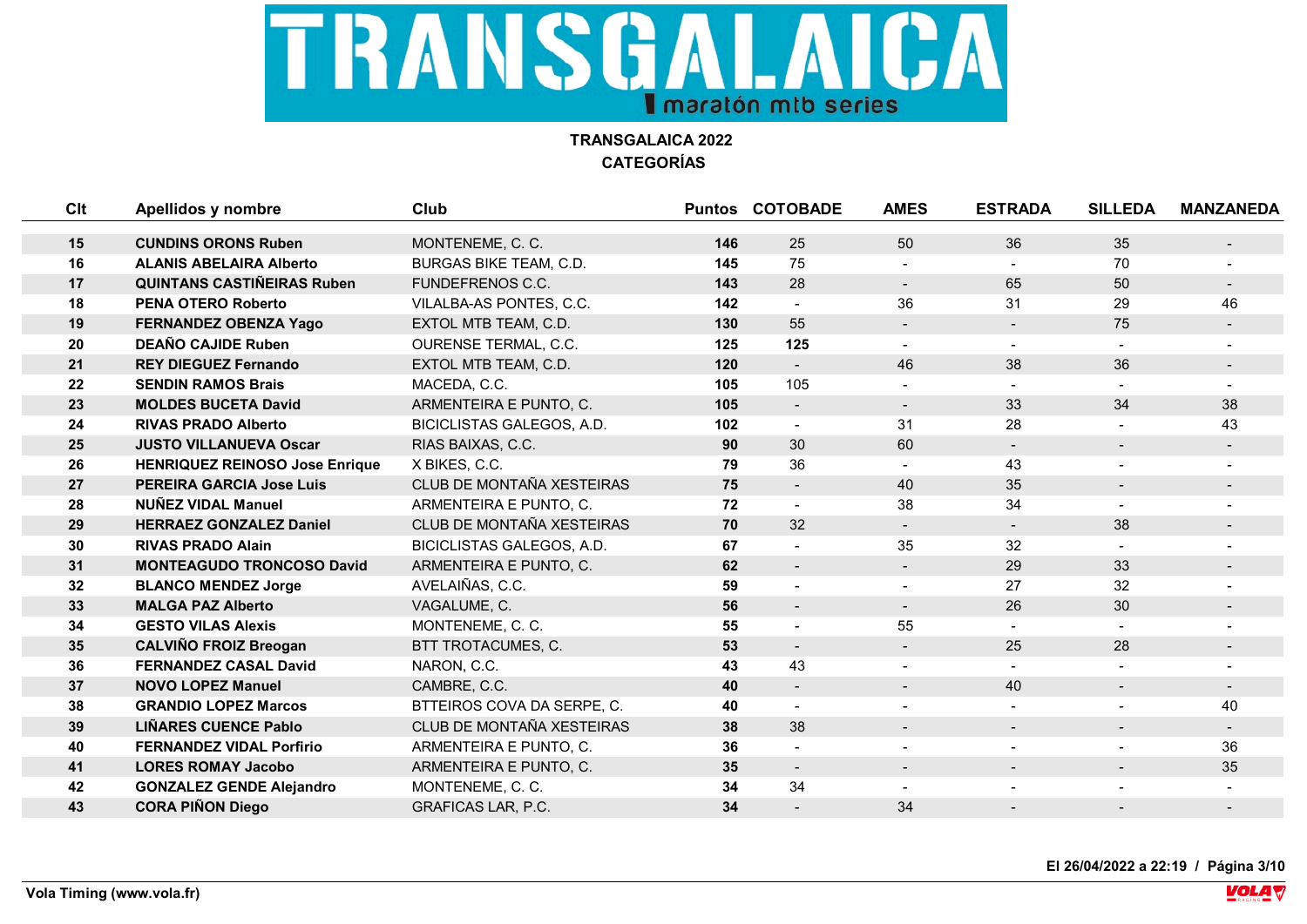

| Clt | Apellidos y nombre                    | <b>Club</b>                   |     | <b>Puntos COTOBADE</b>   | <b>AMES</b>              | <b>ESTRADA</b>           | <b>SILLEDA</b>           | <b>MANZANEDA</b> |
|-----|---------------------------------------|-------------------------------|-----|--------------------------|--------------------------|--------------------------|--------------------------|------------------|
|     |                                       |                               |     |                          |                          |                          |                          |                  |
| 15  | <b>CUNDINS ORONS Ruben</b>            | MONTENEME, C. C.              | 146 | 25                       | 50                       | 36                       | 35                       | $\sim$           |
| 16  | <b>ALANIS ABELAIRA Alberto</b>        | <b>BURGAS BIKE TEAM, C.D.</b> | 145 | 75                       |                          |                          | 70                       |                  |
| 17  | <b>QUINTANS CASTINEIRAS Ruben</b>     | <b>FUNDEFRENOS C.C.</b>       | 143 | 28                       | $\blacksquare$           | 65                       | 50                       | $\sim$           |
| 18  | <b>PENA OTERO Roberto</b>             | VILALBA-AS PONTES, C.C.       | 142 | $\overline{\phantom{a}}$ | 36                       | 31                       | 29                       | 46               |
| 19  | <b>FERNANDEZ OBENZA Yago</b>          | EXTOL MTB TEAM, C.D.          | 130 | 55                       | $\blacksquare$           | $\overline{\phantom{a}}$ | 75                       |                  |
| 20  | <b>DEAÑO CAJIDE Ruben</b>             | <b>OURENSE TERMAL, C.C.</b>   | 125 | 125                      | $\blacksquare$           |                          |                          |                  |
| 21  | <b>REY DIEGUEZ Fernando</b>           | EXTOL MTB TEAM, C.D.          | 120 | $\blacksquare$           | 46                       | 38                       | 36                       |                  |
| 22  | <b>SENDIN RAMOS Brais</b>             | MACEDA, C.C.                  | 105 | 105                      | $\blacksquare$           | $\overline{\phantom{0}}$ |                          |                  |
| 23  | <b>MOLDES BUCETA David</b>            | ARMENTEIRA E PUNTO, C.        | 105 | $\blacksquare$           | $\blacksquare$           | 33                       | 34                       | 38               |
| 24  | <b>RIVAS PRADO Alberto</b>            | BICICLISTAS GALEGOS, A.D.     | 102 | $\blacksquare$           | 31                       | 28                       |                          | 43               |
| 25  | <b>JUSTO VILLANUEVA Oscar</b>         | RIAS BAIXAS, C.C.             | 90  | 30                       | 60                       | $\sim$                   | $\blacksquare$           | $\sim$           |
| 26  | <b>HENRIQUEZ REINOSO Jose Enrique</b> | X BIKES, C.C.                 | 79  | 36                       | $\blacksquare$           | 43                       | $\blacksquare$           |                  |
| 27  | <b>PEREIRA GARCIA Jose Luis</b>       | CLUB DE MONTAÑA XESTEIRAS     | 75  | $\blacksquare$           | 40                       | 35                       | $\blacksquare$           |                  |
| 28  | <b>NUNEZ VIDAL Manuel</b>             | ARMENTEIRA E PUNTO, C.        | 72  |                          | 38                       | 34                       | $\overline{a}$           |                  |
| 29  | <b>HERRAEZ GONZALEZ Daniel</b>        | CLUB DE MONTAÑA XESTEIRAS     | 70  | 32                       | $\sim$                   | $\sim$                   | 38                       | $\sim$           |
| 30  | <b>RIVAS PRADO Alain</b>              | BICICLISTAS GALEGOS, A.D.     | 67  | $\overline{\phantom{a}}$ | 35                       | 32                       |                          |                  |
| 31  | <b>MONTEAGUDO TRONCOSO David</b>      | ARMENTEIRA E PUNTO, C.        | 62  | $\overline{\phantom{a}}$ | $\blacksquare$           | 29                       | 33                       |                  |
| 32  | <b>BLANCO MENDEZ Jorge</b>            | AVELAIÑAS, C.C.               | 59  | $\blacksquare$           |                          | 27                       | 32                       |                  |
| 33  | <b>MALGA PAZ Alberto</b>              | VAGALUME, C.                  | 56  | $\overline{\phantom{a}}$ | $\blacksquare$           | 26                       | 30                       | $\sim$           |
| 34  | <b>GESTO VILAS Alexis</b>             | MONTENEME, C. C.              | 55  | $\overline{\phantom{a}}$ | 55                       |                          |                          |                  |
| 35  | <b>CALVIÑO FROIZ Breogan</b>          | BTT TROTACUMES, C.            | 53  | $\blacksquare$           | $\blacksquare$           | 25                       | 28                       | $\sim$           |
| 36  | <b>FERNANDEZ CASAL David</b>          | NARON, C.C.                   | 43  | 43                       |                          |                          |                          |                  |
| 37  | <b>NOVO LOPEZ Manuel</b>              | CAMBRE, C.C.                  | 40  | $\blacksquare$           | $\blacksquare$           | 40                       | $\overline{\phantom{a}}$ | $\sim$           |
| 38  | <b>GRANDIO LOPEZ Marcos</b>           | BTTEIROS COVA DA SERPE, C.    | 40  |                          |                          |                          |                          | 40               |
| 39  | <b>LIÑARES CUENCE Pablo</b>           | CLUB DE MONTAÑA XESTEIRAS     | 38  | 38                       | $\overline{\phantom{a}}$ | $\overline{\phantom{a}}$ | $\overline{\phantom{a}}$ |                  |
| 40  | <b>FERNANDEZ VIDAL Porfirio</b>       | ARMENTEIRA E PUNTO, C.        | 36  |                          |                          |                          |                          | 36               |
| 41  | <b>LORES ROMAY Jacobo</b>             | ARMENTEIRA E PUNTO, C.        | 35  | $\blacksquare$           |                          |                          |                          | 35               |
| 42  | <b>GONZALEZ GENDE Alejandro</b>       | MONTENEME, C. C.              | 34  | 34                       | $\blacksquare$           |                          |                          |                  |
| 43  | <b>CORA PIÑON Diego</b>               | <b>GRAFICAS LAR, P.C.</b>     | 34  |                          | 34                       |                          |                          |                  |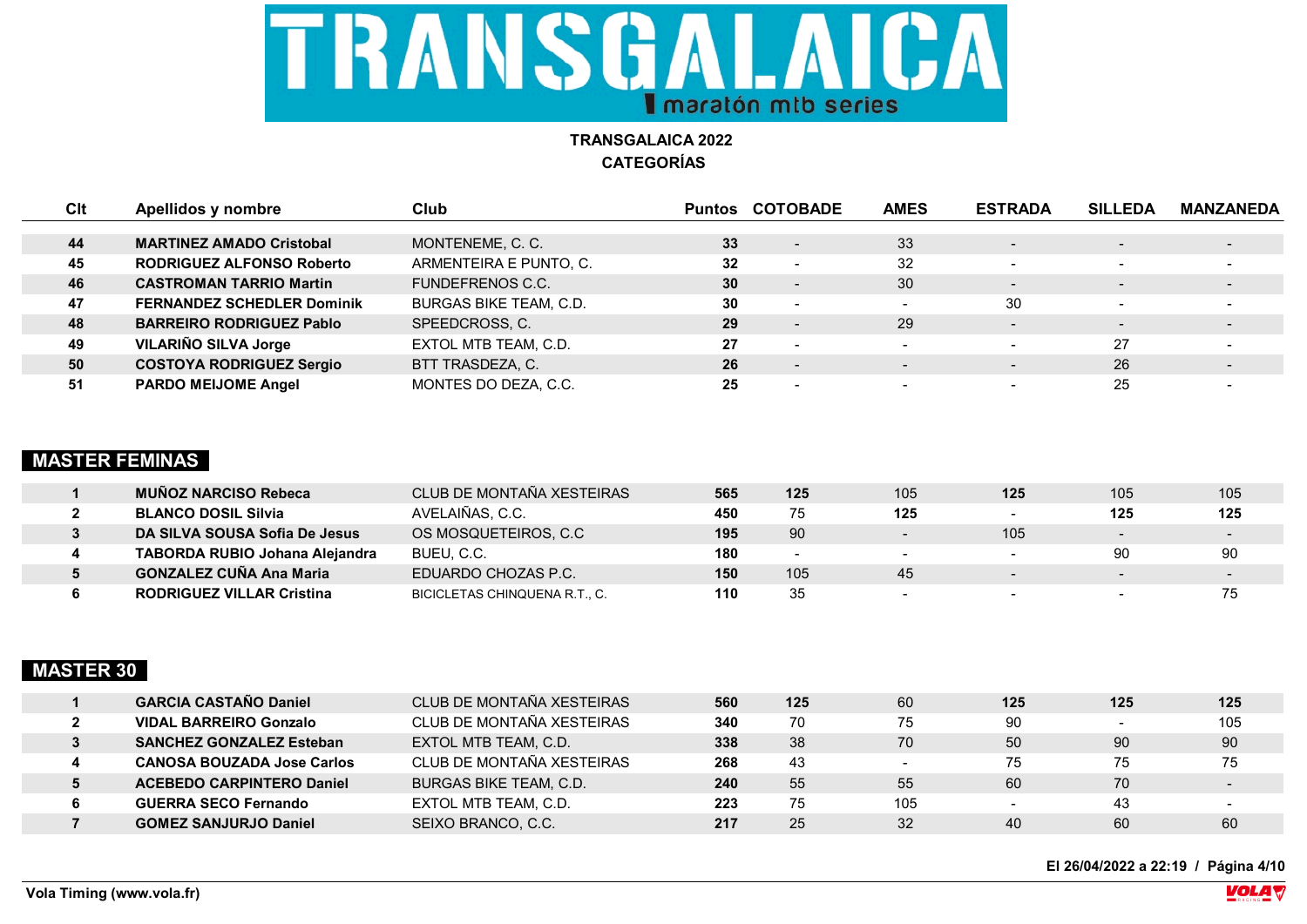

| Clt | Apellidos y nombre                | Club                          |    | <b>Puntos COTOBADE</b>   | <b>AMES</b> | <b>ESTRADA</b>           | <b>SILLEDA</b>           | <b>MANZANEDA</b> |
|-----|-----------------------------------|-------------------------------|----|--------------------------|-------------|--------------------------|--------------------------|------------------|
|     |                                   |                               |    |                          |             |                          |                          |                  |
| 44  | <b>MARTINEZ AMADO Cristobal</b>   | MONTENEME, C. C.              | 33 | $\overline{\phantom{a}}$ | 33          | $\sim$                   | $\overline{\phantom{0}}$ | $\sim$           |
| 45  | <b>RODRIGUEZ ALFONSO Roberto</b>  | ARMENTEIRA E PUNTO, C.        | 32 | . .                      | 32          | $\overline{\phantom{0}}$ | $\overline{\phantom{0}}$ |                  |
| 46  | <b>CASTROMAN TARRIO Martin</b>    | <b>FUNDEFRENOS C.C.</b>       | 30 | $\overline{\phantom{0}}$ | 30          | $\sim$                   | $\qquad \qquad$          | $\sim$           |
| 47  | <b>FERNANDEZ SCHEDLER Dominik</b> | <b>BURGAS BIKE TEAM, C.D.</b> | 30 | $\overline{\phantom{a}}$ | $\sim$      | 30                       | $\overline{\phantom{0}}$ |                  |
| 48  | <b>BARREIRO RODRIGUEZ Pablo</b>   | SPEEDCROSS, C.                | 29 | $\sim$                   | 29          | $\blacksquare$           | $\overline{\phantom{a}}$ | $\sim$           |
| 49  | VILARIÑO SILVA Jorge              | EXTOL MTB TEAM, C.D.          | 27 |                          |             | $\sim$                   | 27                       |                  |
| 50  | <b>COSTOYA RODRIGUEZ Sergio</b>   | BTT TRASDEZA, C.              | 26 | $\overline{\phantom{a}}$ |             | $\sim$                   | 26                       |                  |
| 51  | <b>PARDO MEIJOME Angel</b>        | MONTES DO DEZA, C.C.          | 25 |                          |             |                          | 25                       |                  |

#### **MASTER FEMINAS**

| <b>MUNOZ NARCISO Rebeca</b>           | CLUB DE MONTAÑA XESTEIRAS     | 565 | 125              | 105                      | 125                      | 105                      | 105    |
|---------------------------------------|-------------------------------|-----|------------------|--------------------------|--------------------------|--------------------------|--------|
| <b>BLANCO DOSIL Silvia</b>            | AVELAIÑAS, C.C.               | 450 | 75               | 125                      |                          | 125                      | 125    |
| DA SILVA SOUSA Sofia De Jesus         | OS MOSQUETEIROS, C.C          | 195 | 90               | $\sim$                   | 105                      | $\overline{\phantom{0}}$ | $\sim$ |
| <b>TABORDA RUBIO Johana Alejandra</b> | BUEU, C.C.                    | 180 | $\sim$           | $\overline{\phantom{0}}$ | $\overline{\phantom{0}}$ | 90                       | 90     |
| <b>GONZALEZ CUÑA Ana Maria</b>        | EDUARDO CHOZAS P.C.           | 150 | 105 <sub>1</sub> | 45                       |                          | $\overline{\phantom{0}}$ | $\sim$ |
| <b>RODRIGUEZ VILLAR Cristina</b>      | BICICLETAS CHINQUENA R.T., C. | 110 | 35               |                          |                          | $\sim$                   | 75     |

## **MASTER 30**

| <b>GARCIA CASTANO Daniel</b>      | CLUB DE MONTAÑA XESTEIRAS     | 560 | 125 | 60  | 125                      | 125                      | 125                      |
|-----------------------------------|-------------------------------|-----|-----|-----|--------------------------|--------------------------|--------------------------|
| <b>VIDAL BARREIRO Gonzalo</b>     | CLUB DE MONTAÑA XESTEIRAS     | 340 | 70  | 75  | 90                       | $\overline{\phantom{a}}$ | 105                      |
| <b>SANCHEZ GONZALEZ Esteban</b>   | EXTOL MTB TEAM, C.D.          | 338 | 38  | 70  | 50                       | 90                       | 90                       |
| <b>CANOSA BOUZADA Jose Carlos</b> | CLUB DE MONTAÑA XESTEIRAS     | 268 | 43  |     | 75                       | 75                       | 75                       |
| <b>ACEBEDO CARPINTERO Daniel</b>  | <b>BURGAS BIKE TEAM, C.D.</b> | 240 | 55  | 55  | 60                       | 70                       | $\overline{\phantom{a}}$ |
| <b>GUERRA SECO Fernando</b>       | EXTOL MTB TEAM, C.D.          | 223 | 75  | 105 | $\overline{\phantom{0}}$ | 43                       |                          |
| <b>GOMEZ SANJURJO Daniel</b>      | SEIXO BRANCO, C.C.            | 217 | 25  | 32  | 40                       | 60                       | 60                       |

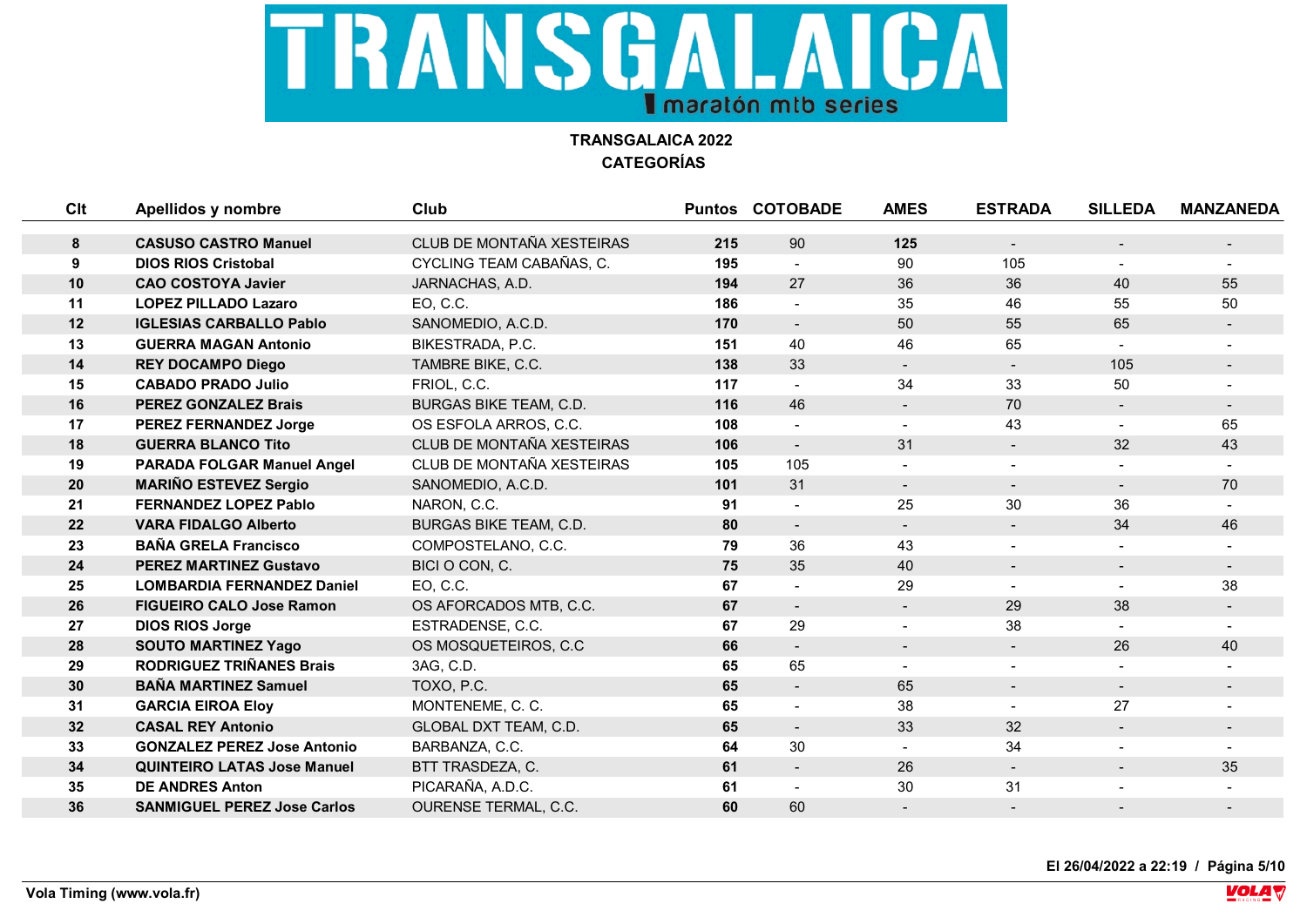

| Clt | Apellidos y nombre                 | Club                         |     | <b>Puntos COTOBADE</b> | <b>AMES</b>    | <b>ESTRADA</b> | <b>SILLEDA</b> | <b>MANZANEDA</b> |
|-----|------------------------------------|------------------------------|-----|------------------------|----------------|----------------|----------------|------------------|
|     | <b>CASUSO CASTRO Manuel</b>        |                              |     |                        |                |                |                |                  |
| 8   |                                    | CLUB DE MONTAÑA XESTEIRAS    | 215 | 90                     | 125            | $\blacksquare$ | $\blacksquare$ | $\sim$           |
| 9   | <b>DIOS RIOS Cristobal</b>         | CYCLING TEAM CABAÑAS, C.     | 195 |                        | 90             | 105            |                |                  |
| 10  | <b>CAO COSTOYA Javier</b>          | JARNACHAS, A.D.              | 194 | 27                     | 36             | 36             | 40             | 55               |
| 11  | <b>LOPEZ PILLADO Lazaro</b>        | EO, C.C.                     | 186 |                        | 35             | 46             | 55             | 50               |
| 12  | <b>IGLESIAS CARBALLO Pablo</b>     | SANOMEDIO, A.C.D.            | 170 |                        | 50             | 55             | 65             |                  |
| 13  | <b>GUERRA MAGAN Antonio</b>        | BIKESTRADA, P.C.             | 151 | 40                     | 46             | 65             |                |                  |
| 14  | <b>REY DOCAMPO Diego</b>           | TAMBRE BIKE, C.C.            | 138 | 33                     | $\blacksquare$ | $\blacksquare$ | 105            |                  |
| 15  | <b>CABADO PRADO Julio</b>          | FRIOL, C.C.                  | 117 |                        | 34             | 33             | 50             |                  |
| 16  | <b>PEREZ GONZALEZ Brais</b>        | BURGAS BIKE TEAM, C.D.       | 116 | 46                     |                | 70             |                |                  |
| 17  | <b>PEREZ FERNANDEZ Jorge</b>       | OS ESFOLA ARROS, C.C.        | 108 |                        |                | 43             | $\blacksquare$ | 65               |
| 18  | <b>GUERRA BLANCO Tito</b>          | CLUB DE MONTAÑA XESTEIRAS    | 106 |                        | 31             | $\sim$         | 32             | 43               |
| 19  | <b>PARADA FOLGAR Manuel Angel</b>  | CLUB DE MONTAÑA XESTEIRAS    | 105 | 105                    | $\blacksquare$ | $\blacksquare$ | $\blacksquare$ |                  |
| 20  | <b>MARIÑO ESTEVEZ Sergio</b>       | SANOMEDIO, A.C.D.            | 101 | 31                     | $\sim$         | $\sim$         | $\blacksquare$ | 70               |
| 21  | <b>FERNANDEZ LOPEZ Pablo</b>       | NARON, C.C.                  | 91  |                        | 25             | 30             | 36             |                  |
| 22  | <b>VARA FIDALGO Alberto</b>        | BURGAS BIKE TEAM, C.D.       | 80  |                        | $\blacksquare$ | $\blacksquare$ | 34             | 46               |
| 23  | <b>BAÑA GRELA Francisco</b>        | COMPOSTELANO, C.C.           | 79  | 36                     | 43             |                |                |                  |
| 24  | <b>PEREZ MARTINEZ Gustavo</b>      | BICI O CON, C.               | 75  | 35                     | 40             | $\blacksquare$ | $\blacksquare$ | $\sim$           |
| 25  | <b>LOMBARDIA FERNANDEZ Daniel</b>  | EO, C.C.                     | 67  |                        | 29             |                |                | 38               |
| 26  | <b>FIGUEIRO CALO Jose Ramon</b>    | OS AFORCADOS MTB, C.C.       | 67  | $\blacksquare$         | $\blacksquare$ | 29             | 38             | $\sim$           |
| 27  | <b>DIOS RIOS Jorge</b>             | ESTRADENSE, C.C.             | 67  | 29                     |                | 38             |                |                  |
| 28  | <b>SOUTO MARTINEZ Yago</b>         | OS MOSQUETEIROS, C.C.        | 66  | $\blacksquare$         | $\blacksquare$ | $\blacksquare$ | 26             | 40               |
| 29  | <b>RODRIGUEZ TRIÑANES Brais</b>    | 3AG, C.D.                    | 65  | 65                     |                |                |                |                  |
| 30  | <b>BAÑA MARTINEZ Samuel</b>        | TOXO, P.C.                   | 65  |                        | 65             | $\blacksquare$ | $\blacksquare$ | $\sim$           |
| 31  | <b>GARCIA EIROA Eloy</b>           | MONTENEME, C. C.             | 65  |                        | 38             |                | 27             |                  |
| 32  | <b>CASAL REY Antonio</b>           | <b>GLOBAL DXT TEAM, C.D.</b> | 65  |                        | 33             | 32             |                |                  |
| 33  | <b>GONZALEZ PEREZ Jose Antonio</b> | BARBANZA, C.C.               | 64  | 30                     |                | 34             |                |                  |
| 34  | <b>QUINTEIRO LATAS Jose Manuel</b> | BTT TRASDEZA, C.             | 61  |                        | 26             | $\blacksquare$ | $\blacksquare$ | 35               |
| 35  | <b>DE ANDRES Anton</b>             | PICARAÑA, A.D.C.             | 61  |                        | 30             | 31             |                |                  |
| 36  | <b>SANMIGUEL PEREZ Jose Carlos</b> | <b>OURENSE TERMAL, C.C.</b>  | 60  | 60                     |                |                |                |                  |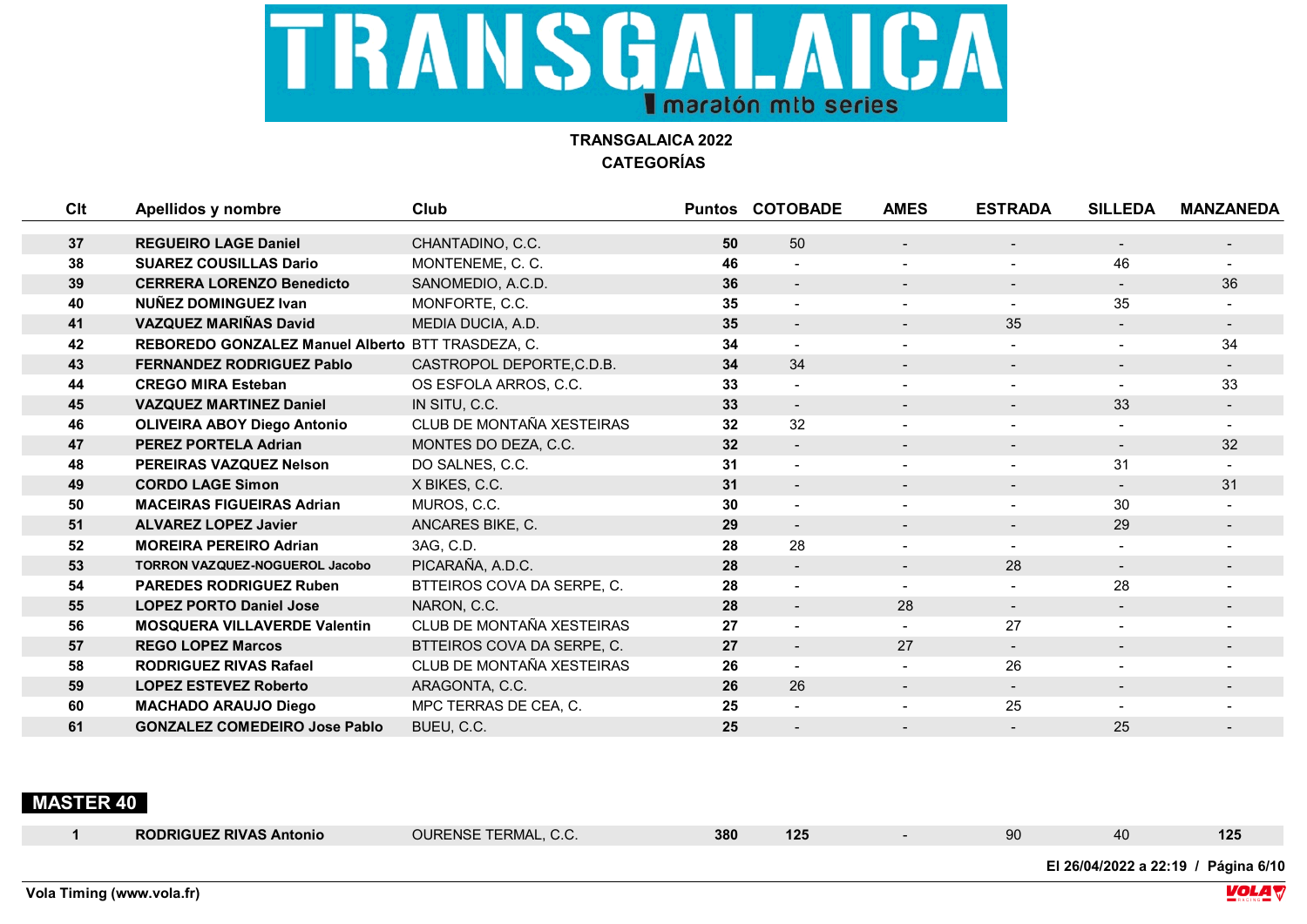

| Clt | Apellidos y nombre                                | Club                       |    | <b>Puntos COTOBADE</b>   | <b>AMES</b>              | <b>ESTRADA</b>           | <b>SILLEDA</b>           | <b>MANZANEDA</b> |
|-----|---------------------------------------------------|----------------------------|----|--------------------------|--------------------------|--------------------------|--------------------------|------------------|
| 37  | <b>REGUEIRO LAGE Daniel</b>                       | CHANTADINO, C.C.           | 50 | 50                       | $\blacksquare$           | $\blacksquare$           | $\blacksquare$           |                  |
| 38  | <b>SUAREZ COUSILLAS Dario</b>                     | MONTENEME, C. C.           | 46 |                          |                          | $\overline{a}$           | 46                       |                  |
| 39  | <b>CERRERA LORENZO Benedicto</b>                  | SANOMEDIO, A.C.D.          | 36 |                          | $\blacksquare$           | $\blacksquare$           | $\blacksquare$           | 36               |
| 40  | NUÑEZ DOMINGUEZ Ivan                              | MONFORTE, C.C.             | 35 |                          | $\blacksquare$           |                          | 35                       |                  |
| 41  | <b>VAZQUEZ MARIÑAS David</b>                      | MEDIA DUCIA, A.D.          | 35 | $\blacksquare$           | $\blacksquare$           | 35                       | $\blacksquare$           | $\blacksquare$   |
| 42  | REBOREDO GONZALEZ Manuel Alberto BTT TRASDEZA, C. |                            | 34 | $\overline{a}$           | $\overline{\phantom{0}}$ | $\blacksquare$           | $\blacksquare$           | 34               |
| 43  | <b>FERNANDEZ RODRIGUEZ Pablo</b>                  | CASTROPOL DEPORTE, C.D.B.  | 34 | 34                       | $\blacksquare$           | $\sim$                   | $\overline{\phantom{a}}$ | $\sim$           |
| 44  | <b>CREGO MIRA Esteban</b>                         | OS ESFOLA ARROS, C.C.      | 33 | $\overline{\phantom{a}}$ | $\overline{\phantom{0}}$ | $\overline{\phantom{0}}$ | $\blacksquare$           | 33               |
| 45  | <b>VAZQUEZ MARTINEZ Daniel</b>                    | IN SITU, C.C.              | 33 |                          |                          |                          | 33                       |                  |
| 46  | <b>OLIVEIRA ABOY Diego Antonio</b>                | CLUB DE MONTAÑA XESTEIRAS  | 32 | 32                       |                          |                          |                          |                  |
| 47  | <b>PEREZ PORTELA Adrian</b>                       | MONTES DO DEZA, C.C.       | 32 | $\overline{\phantom{a}}$ | $\sim$                   | $\blacksquare$           | $\blacksquare$           | 32               |
| 48  | PEREIRAS VAZQUEZ Nelson                           | DO SALNES, C.C.            | 31 |                          | $\blacksquare$           | $\overline{\phantom{0}}$ | 31                       |                  |
| 49  | <b>CORDO LAGE Simon</b>                           | X BIKES, C.C.              | 31 | $\blacksquare$           | $\blacksquare$           | $\blacksquare$           | $\blacksquare$           | 31               |
| 50  | <b>MACEIRAS FIGUEIRAS Adrian</b>                  | MUROS, C.C.                | 30 |                          | $\overline{\phantom{0}}$ | $\blacksquare$           | 30                       |                  |
| 51  | <b>ALVAREZ LOPEZ Javier</b>                       | ANCARES BIKE, C.           | 29 | $\blacksquare$           | $\blacksquare$           | $\overline{\phantom{0}}$ | 29                       | $\blacksquare$   |
| 52  | <b>MOREIRA PEREIRO Adrian</b>                     | 3AG, C.D.                  | 28 | 28                       | $\blacksquare$           | $\blacksquare$           | $\blacksquare$           |                  |
| 53  | <b>TORRON VAZQUEZ-NOGUEROL Jacobo</b>             | PICARAÑA, A.D.C.           | 28 |                          | $\blacksquare$           | 28                       | $\blacksquare$           | $\sim$           |
| 54  | <b>PAREDES RODRIGUEZ Ruben</b>                    | BTTEIROS COVA DA SERPE, C. | 28 |                          | $\blacksquare$           | $\blacksquare$           | 28                       |                  |
| 55  | <b>LOPEZ PORTO Daniel Jose</b>                    | NARON, C.C.                | 28 |                          | 28                       |                          |                          |                  |
| 56  | <b>MOSQUERA VILLAVERDE Valentin</b>               | CLUB DE MONTAÑA XESTEIRAS  | 27 |                          |                          | 27                       | $\blacksquare$           |                  |
| 57  | <b>REGO LOPEZ Marcos</b>                          | BTTEIROS COVA DA SERPE, C. | 27 | $\blacksquare$           | 27                       | $\sim$                   | $\blacksquare$           | $\blacksquare$   |
| 58  | <b>RODRIGUEZ RIVAS Rafael</b>                     | CLUB DE MONTAÑA XESTEIRAS  | 26 |                          |                          | 26                       | $\blacksquare$           |                  |
| 59  | <b>LOPEZ ESTEVEZ Roberto</b>                      | ARAGONTA, C.C.             | 26 | 26                       | $\blacksquare$           | $\blacksquare$           | $\overline{\phantom{a}}$ | $\blacksquare$   |
| 60  | <b>MACHADO ARAUJO Diego</b>                       | MPC TERRAS DE CEA, C.      | 25 |                          |                          | 25                       |                          |                  |
| 61  | <b>GONZALEZ COMEDEIRO Jose Pablo</b>              | BUEU, C.C.                 | 25 |                          |                          |                          | 25                       |                  |

#### **MASTER 40**

| 380<br>OURENSE TERMAL, C.C.<br><b>RODRIGUEZ RIVAS Antonio</b><br>125<br>90<br>ำ∠ວ |  |  |  |  | El 26/04/2022 a 22:19 / | Página 6/1 |  |
|-----------------------------------------------------------------------------------|--|--|--|--|-------------------------|------------|--|
|                                                                                   |  |  |  |  |                         |            |  |

 **Vola Timing (www.vola.fr)**

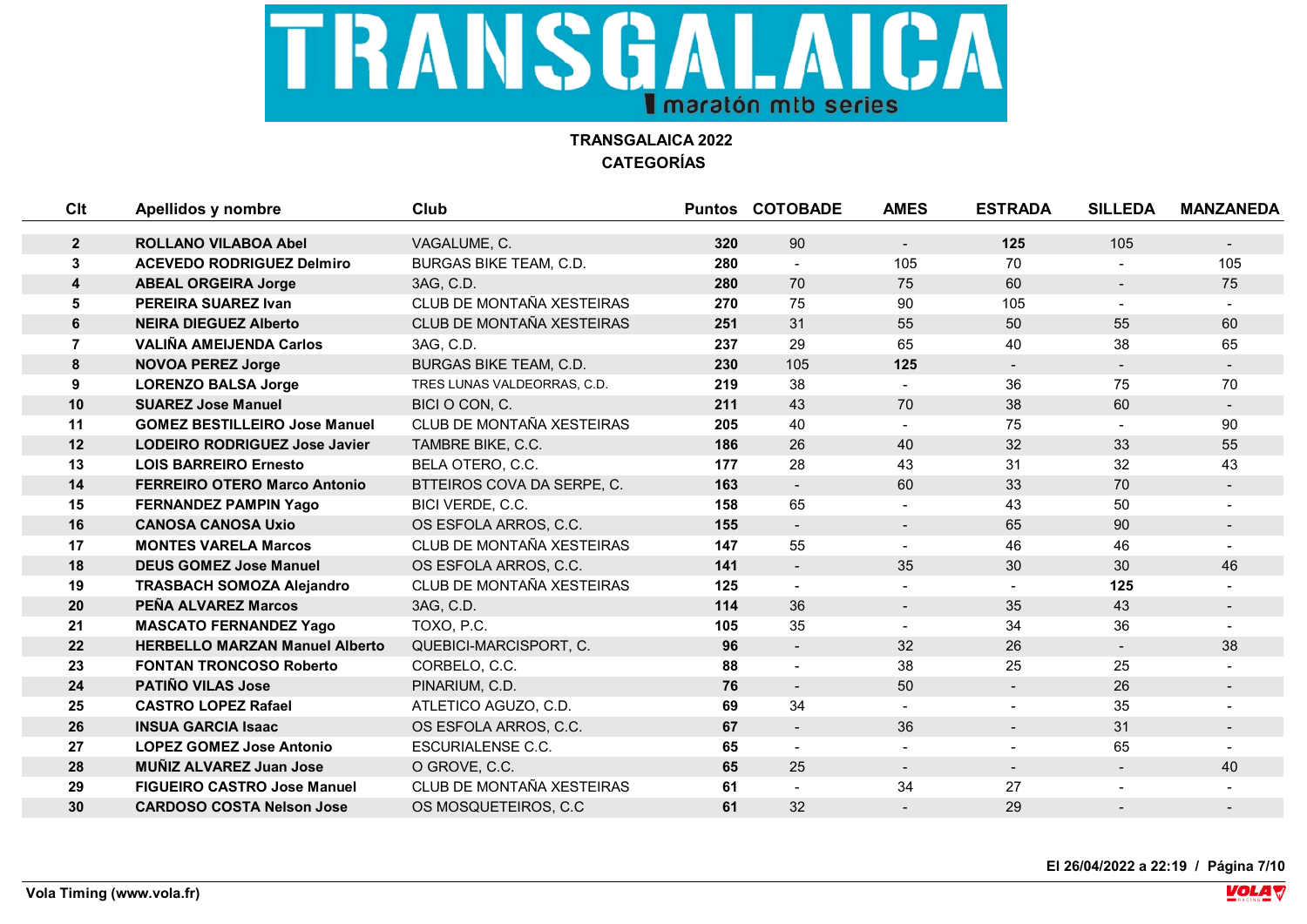

| Clt            | Apellidos y nombre                    | Club                        |     | <b>Puntos COTOBADE</b>   | <b>AMES</b>              | <b>ESTRADA</b>           | <b>SILLEDA</b>           | <b>MANZANEDA</b> |
|----------------|---------------------------------------|-----------------------------|-----|--------------------------|--------------------------|--------------------------|--------------------------|------------------|
|                | <b>ROLLANO VILABOA Abel</b>           | VAGALUME, C.                | 320 | 90                       |                          | 125                      | 105                      |                  |
| $\mathbf{2}$   |                                       |                             |     |                          | $\blacksquare$           |                          |                          | $\sim$           |
| 3              | <b>ACEVEDO RODRIGUEZ Delmiro</b>      | BURGAS BIKE TEAM, C.D.      | 280 |                          | 105                      | 70                       |                          | 105              |
| 4              | <b>ABEAL ORGEIRA Jorge</b>            | 3AG, C.D.                   | 280 | 70                       | 75                       | 60                       | $\overline{\phantom{a}}$ | 75               |
| 5              | <b>PEREIRA SUAREZ Ivan</b>            | CLUB DE MONTAÑA XESTEIRAS   | 270 | 75                       | 90                       | 105                      |                          |                  |
| 6              | <b>NEIRA DIEGUEZ Alberto</b>          | CLUB DE MONTAÑA XESTEIRAS   | 251 | 31                       | 55                       | 50                       | 55                       | 60               |
| $\overline{7}$ | <b>VALIÑA AMEIJENDA Carlos</b>        | 3AG, C.D.                   | 237 | 29                       | 65                       | 40                       | 38                       | 65               |
| 8              | <b>NOVOA PEREZ Jorge</b>              | BURGAS BIKE TEAM, C.D.      | 230 | 105                      | 125                      | $\sim$                   |                          |                  |
| 9              | <b>LORENZO BALSA Jorge</b>            | TRES LUNAS VALDEORRAS, C.D. | 219 | 38                       | $\overline{\phantom{0}}$ | 36                       | 75                       | 70               |
| 10             | <b>SUAREZ Jose Manuel</b>             | BICI O CON, C.              | 211 | 43                       | 70                       | 38                       | 60                       |                  |
| 11             | <b>GOMEZ BESTILLEIRO Jose Manuel</b>  | CLUB DE MONTAÑA XESTEIRAS   | 205 | 40                       | $\blacksquare$           | 75                       |                          | 90               |
| 12             | <b>LODEIRO RODRIGUEZ Jose Javier</b>  | TAMBRE BIKE, C.C.           | 186 | 26                       | 40                       | 32                       | 33                       | 55               |
| 13             | <b>LOIS BARREIRO Ernesto</b>          | BELA OTERO, C.C.            | 177 | 28                       | 43                       | 31                       | 32                       | 43               |
| 14             | <b>FERREIRO OTERO Marco Antonio</b>   | BTTEIROS COVA DA SERPE, C.  | 163 | $\sim$                   | 60                       | 33                       | 70                       | $\sim$           |
| 15             | <b>FERNANDEZ PAMPIN Yago</b>          | BICI VERDE, C.C.            | 158 | 65                       |                          | 43                       | 50                       |                  |
| 16             | <b>CANOSA CANOSA Uxio</b>             | OS ESFOLA ARROS, C.C.       | 155 | $\overline{\phantom{a}}$ | $\blacksquare$           | 65                       | 90                       |                  |
| 17             | <b>MONTES VARELA Marcos</b>           | CLUB DE MONTAÑA XESTEIRAS   | 147 | 55                       | $\overline{\phantom{0}}$ | 46                       | 46                       |                  |
| 18             | <b>DEUS GOMEZ Jose Manuel</b>         | OS ESFOLA ARROS, C.C.       | 141 | $\blacksquare$           | 35                       | 30                       | 30                       | 46               |
| 19             | <b>TRASBACH SOMOZA Alejandro</b>      | CLUB DE MONTAÑA XESTEIRAS   | 125 |                          |                          |                          | 125                      |                  |
| 20             | PEÑA ALVAREZ Marcos                   | 3AG, C.D.                   | 114 | 36                       | $\blacksquare$           | 35                       | 43                       | $\sim$           |
| 21             | <b>MASCATO FERNANDEZ Yago</b>         | TOXO, P.C.                  | 105 | 35                       |                          | 34                       | 36                       |                  |
| 22             | <b>HERBELLO MARZAN Manuel Alberto</b> | QUEBICI-MARCISPORT, C.      | 96  | $\blacksquare$           | 32                       | 26                       | $\blacksquare$           | 38               |
| 23             | <b>FONTAN TRONCOSO Roberto</b>        | CORBELO, C.C.               | 88  |                          | 38                       | 25                       | 25                       |                  |
| 24             | <b>PATIÑO VILAS Jose</b>              | PINARIUM, C.D.              | 76  | $\blacksquare$           | 50                       | $\blacksquare$           | 26                       | $\sim$           |
| 25             | <b>CASTRO LOPEZ Rafael</b>            | ATLETICO AGUZO, C.D.        | 69  | 34                       |                          |                          | 35                       |                  |
| 26             | <b>INSUA GARCIA Isaac</b>             | OS ESFOLA ARROS, C.C.       | 67  |                          | 36                       | $\overline{\phantom{a}}$ | 31                       |                  |
| 27             | <b>LOPEZ GOMEZ Jose Antonio</b>       | <b>ESCURIALENSE C.C.</b>    | 65  |                          |                          |                          | 65                       |                  |
| 28             | <b>MUÑIZ ALVAREZ Juan Jose</b>        | O GROVE, C.C.               | 65  | 25                       | $\overline{\phantom{a}}$ | $\blacksquare$           | $\overline{\phantom{a}}$ | 40               |
| 29             | <b>FIGUEIRO CASTRO Jose Manuel</b>    | CLUB DE MONTAÑA XESTEIRAS   | 61  |                          | 34                       | 27                       | $\blacksquare$           |                  |
| 30             | <b>CARDOSO COSTA Nelson Jose</b>      | OS MOSQUETEIROS, C.C        | 61  | 32                       |                          | 29                       |                          |                  |

**El 26/04/2022 a 22:19 / Página 7/10**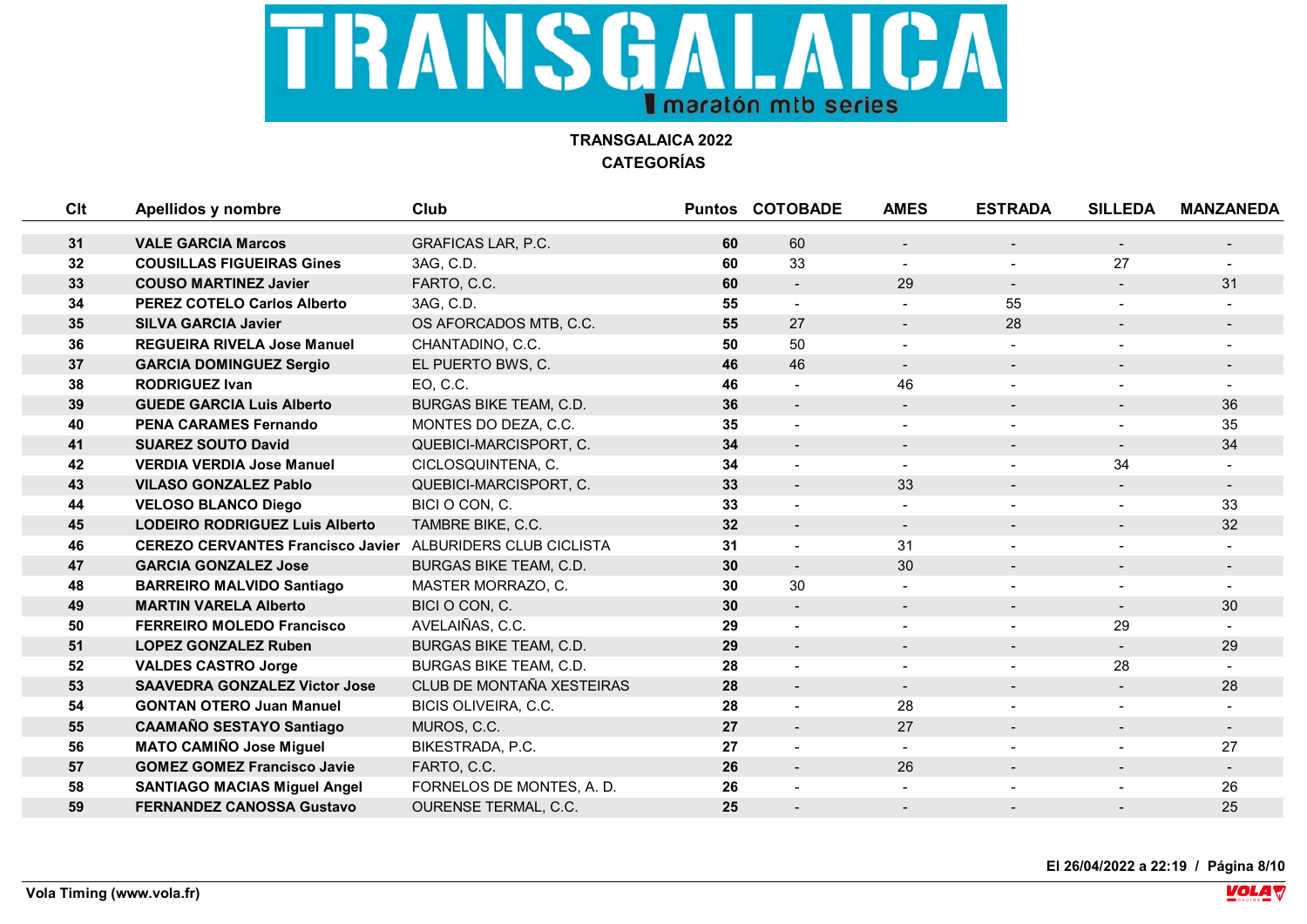

| Clt | Apellidos y nombre                                                | <b>Club</b>                   |    | <b>Puntos COTOBADE</b>   | <b>AMES</b>    | <b>ESTRADA</b>           | <b>SILLEDA</b>           | <b>MANZANEDA</b> |
|-----|-------------------------------------------------------------------|-------------------------------|----|--------------------------|----------------|--------------------------|--------------------------|------------------|
|     |                                                                   |                               |    |                          |                |                          |                          |                  |
| 31  | <b>VALE GARCIA Marcos</b>                                         | GRAFICAS LAR, P.C.            | 60 | 60                       | $\blacksquare$ | $\overline{\phantom{a}}$ | $\blacksquare$           |                  |
| 32  | <b>COUSILLAS FIGUEIRAS Gines</b>                                  | 3AG, C.D.                     | 60 | 33                       |                |                          | 27                       |                  |
| 33  | <b>COUSO MARTINEZ Javier</b>                                      | FARTO, C.C.                   | 60 | $\blacksquare$           | 29             | $\blacksquare$           | $\blacksquare$           | 31               |
| 34  | <b>PEREZ COTELO Carlos Alberto</b>                                | 3AG, C.D.                     | 55 |                          |                | 55                       | $\overline{a}$           |                  |
| 35  | <b>SILVA GARCIA Javier</b>                                        | OS AFORCADOS MTB, C.C.        | 55 | 27                       | $\blacksquare$ | 28                       | $\blacksquare$           |                  |
| 36  | <b>REGUEIRA RIVELA Jose Manuel</b>                                | CHANTADINO, C.C.              | 50 | 50                       |                |                          |                          |                  |
| 37  | <b>GARCIA DOMINGUEZ Sergio</b>                                    | EL PUERTO BWS, C.             | 46 | 46                       | $\blacksquare$ | $\blacksquare$           | $\overline{\phantom{a}}$ |                  |
| 38  | <b>RODRIGUEZ Ivan</b>                                             | EO, C.C.                      | 46 |                          | 46             |                          |                          |                  |
| 39  | <b>GUEDE GARCIA Luis Alberto</b>                                  | <b>BURGAS BIKE TEAM, C.D.</b> | 36 |                          | $\blacksquare$ |                          | $\blacksquare$           | 36               |
| 40  | <b>PENA CARAMES Fernando</b>                                      | MONTES DO DEZA, C.C.          | 35 |                          |                |                          |                          | 35               |
| 41  | <b>SUAREZ SOUTO David</b>                                         | QUEBICI-MARCISPORT, C.        | 34 |                          |                |                          |                          | 34               |
| 42  | <b>VERDIA VERDIA Jose Manuel</b>                                  | CICLOSQUINTENA, C.            | 34 |                          | $\sim$         | $\overline{a}$           | 34                       |                  |
| 43  | <b>VILASO GONZALEZ Pablo</b>                                      | QUEBICI-MARCISPORT, C.        | 33 | $\overline{a}$           | 33             |                          |                          |                  |
| 44  | <b>VELOSO BLANCO Diego</b>                                        | BICI O CON, C.                | 33 |                          | $\blacksquare$ | $\blacksquare$           | $\blacksquare$           | 33               |
| 45  | <b>LODEIRO RODRIGUEZ Luis Alberto</b>                             | TAMBRE BIKE, C.C.             | 32 | $\blacksquare$           | $\sim$         | $\blacksquare$           | $\blacksquare$           | 32               |
| 46  | <b>CEREZO CERVANTES Francisco Javier ALBURIDERS CLUB CICLISTA</b> |                               | 31 |                          | 31             |                          |                          |                  |
| 47  | <b>GARCIA GONZALEZ Jose</b>                                       | <b>BURGAS BIKE TEAM, C.D.</b> | 30 | $\blacksquare$           | 30             | $\blacksquare$           | $\blacksquare$           | $\sim$           |
| 48  | <b>BARREIRO MALVIDO Santiago</b>                                  | MASTER MORRAZO, C.            | 30 | 30                       |                | $\blacksquare$           | $\blacksquare$           |                  |
| 49  | <b>MARTIN VARELA Alberto</b>                                      | BICI O CON, C.                | 30 | $\blacksquare$           | $\blacksquare$ | $\overline{\phantom{a}}$ | $\blacksquare$           | 30               |
| 50  | <b>FERREIRO MOLEDO Francisco</b>                                  | AVELAIÑAS, C.C.               | 29 |                          |                |                          | 29                       |                  |
| 51  | <b>LOPEZ GONZALEZ Ruben</b>                                       | <b>BURGAS BIKE TEAM, C.D.</b> | 29 | $\blacksquare$           | $\blacksquare$ | $\blacksquare$           | $\blacksquare$           | 29               |
| 52  | <b>VALDES CASTRO Jorge</b>                                        | <b>BURGAS BIKE TEAM, C.D.</b> | 28 |                          |                | $\blacksquare$           | 28                       |                  |
| 53  | <b>SAAVEDRA GONZALEZ Victor Jose</b>                              | CLUB DE MONTAÑA XESTEIRAS     | 28 | $\overline{\phantom{a}}$ | $\sim$         | $\blacksquare$           | $\blacksquare$           | 28               |
| 54  | <b>GONTAN OTERO Juan Manuel</b>                                   | BICIS OLIVEIRA, C.C.          | 28 |                          | 28             |                          |                          |                  |
| 55  | <b>CAAMAÑO SESTAYO Santiago</b>                                   | MUROS, C.C.                   | 27 |                          | 27             | $\blacksquare$           | $\blacksquare$           | $\blacksquare$   |
| 56  | <b>MATO CAMIÑO Jose Miguel</b>                                    | BIKESTRADA, P.C.              | 27 |                          | $\blacksquare$ |                          |                          | 27               |
| 57  | <b>GOMEZ GOMEZ Francisco Javie</b>                                | FARTO, C.C.                   | 26 |                          | 26             |                          | $\overline{\phantom{a}}$ |                  |
| 58  | <b>SANTIAGO MACIAS Miguel Angel</b>                               | FORNELOS DE MONTES, A. D.     | 26 |                          |                |                          |                          | 26               |
| 59  | <b>FERNANDEZ CANOSSA Gustavo</b>                                  | <b>OURENSE TERMAL, C.C.</b>   | 25 |                          |                |                          |                          | 25               |

**El 26/04/2022 a 22:19 / Página 8/10**

**VOLA**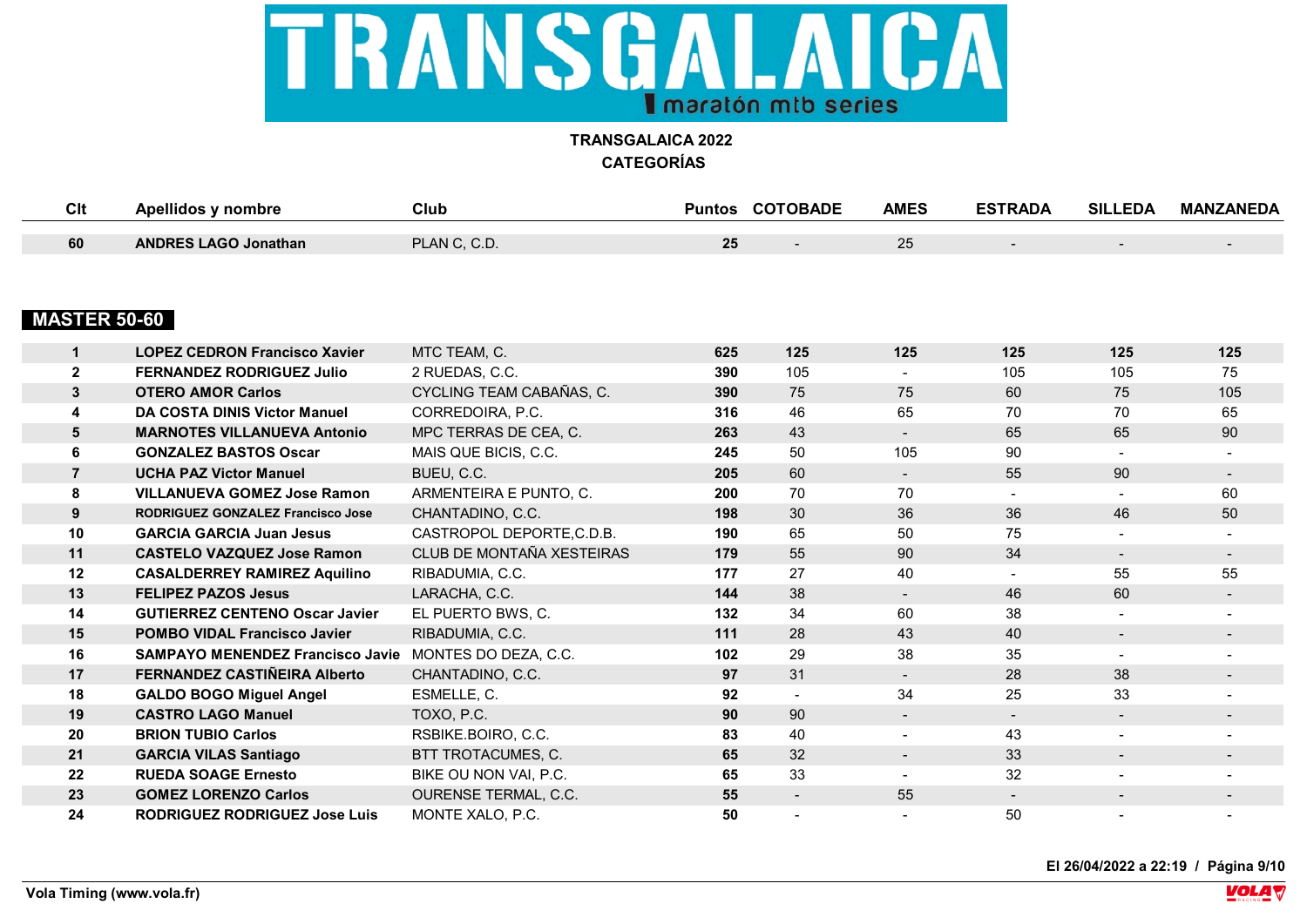

| $\sim$<br>◡川 | ' nombre                    | Club                        | Puntos   | <b>COTOBADE</b> | <b>AMES</b> | <b>ESTRADA</b> | SIL<br><b>EDA</b> | <b>MANZANEDA</b> |
|--------------|-----------------------------|-----------------------------|----------|-----------------|-------------|----------------|-------------------|------------------|
|              |                             |                             |          |                 |             |                |                   |                  |
| 60           | <b>ANDRES LAGO Jonathan</b> | PLAN C. C.D.<br>$\sim$ U.L. | クト<br>∠J |                 | $\sim$      |                |                   |                  |

## **MASTER 50-60**

|                | <b>LOPEZ CEDRON Francisco Xavier</b>    | MTC TEAM, C.                | 625 | 125                      | 125                      | 125            | 125            | 125                      |
|----------------|-----------------------------------------|-----------------------------|-----|--------------------------|--------------------------|----------------|----------------|--------------------------|
| $\overline{2}$ | <b>FERNANDEZ RODRIGUEZ Julio</b>        | 2 RUEDAS, C.C.              | 390 | 105                      | $\blacksquare$           | 105            | 105            | 75                       |
| $\mathbf{3}$   | <b>OTERO AMOR Carlos</b>                | CYCLING TEAM CABAÑAS, C.    | 390 | 75                       | 75                       | 60             | 75             | 105                      |
| 4              | DA COSTA DINIS Victor Manuel            | CORREDOIRA, P.C.            | 316 | 46                       | 65                       | 70             | 70             | 65                       |
| 5              | <b>MARNOTES VILLANUEVA Antonio</b>      | MPC TERRAS DE CEA, C.       | 263 | 43                       | $\sim$                   | 65             | 65             | 90                       |
| 6              | <b>GONZALEZ BASTOS Oscar</b>            | MAIS QUE BICIS, C.C.        | 245 | 50                       | 105                      | 90             | $\blacksquare$ |                          |
| $\overline{7}$ | <b>UCHA PAZ Victor Manuel</b>           | BUEU, C.C.                  | 205 | 60                       | $\blacksquare$           | 55             | 90             | $\blacksquare$           |
| 8              | <b>VILLANUEVA GOMEZ Jose Ramon</b>      | ARMENTEIRA E PUNTO, C.      | 200 | 70                       | 70                       |                | $\blacksquare$ | 60                       |
| 9              | RODRIGUEZ GONZALEZ Francisco Jose       | CHANTADINO, C.C.            | 198 | 30                       | 36                       | 36             | 46             | 50                       |
| 10             | <b>GARCIA GARCIA Juan Jesus</b>         | CASTROPOL DEPORTE, C.D.B.   | 190 | 65                       | 50                       | 75             | $\blacksquare$ | $\blacksquare$           |
| 11             | <b>CASTELO VAZQUEZ Jose Ramon</b>       | CLUB DE MONTAÑA XESTEIRAS   | 179 | 55                       | 90                       | 34             | $\blacksquare$ | $\sim$                   |
| 12             | <b>CASALDERREY RAMIREZ Aquilino</b>     | RIBADUMIA, C.C.             | 177 | 27                       | 40                       | $\blacksquare$ | 55             | 55                       |
| 13             | <b>FELIPEZ PAZOS Jesus</b>              | LARACHA, C.C.               | 144 | 38                       | $\sim$                   | 46             | 60             | $\sim$                   |
| 14             | <b>GUTIERREZ CENTENO Oscar Javier</b>   | EL PUERTO BWS, C.           | 132 | 34                       | 60                       | 38             | $\blacksquare$ | $\blacksquare$           |
| 15             | <b>POMBO VIDAL Francisco Javier</b>     | RIBADUMIA, C.C.             | 111 | 28                       | 43                       | 40             | $\blacksquare$ | $\blacksquare$           |
| 16             | <b>SAMPAYO MENENDEZ Francisco Javie</b> | MONTES DO DEZA, C.C.        | 102 | 29                       | 38                       | 35             | $\blacksquare$ | $\blacksquare$           |
| 17             | FERNANDEZ CASTIÑEIRA Alberto            | CHANTADINO, C.C.            | 97  | 31                       | $\sim$                   | 28             | 38             |                          |
| 18             | <b>GALDO BOGO Miguel Angel</b>          | ESMELLE, C.                 | 92  |                          | 34                       | 25             | 33             | $\overline{\phantom{a}}$ |
| 19             | <b>CASTRO LAGO Manuel</b>               | TOXO, P.C.                  | 90  | 90                       | $\blacksquare$           | $\blacksquare$ | $\blacksquare$ | $\blacksquare$           |
| 20             | <b>BRION TUBIO Carlos</b>               | RSBIKE.BOIRO, C.C.          | 83  | 40                       | $\blacksquare$           | 43             | $\blacksquare$ | $\blacksquare$           |
| 21             | <b>GARCIA VILAS Santiago</b>            | BTT TROTACUMES, C.          | 65  | 32                       | $\blacksquare$           | 33             | $\blacksquare$ | $\sim$                   |
| 22             | <b>RUEDA SOAGE Ernesto</b>              | BIKE OU NON VAI, P.C.       | 65  | 33                       | $\blacksquare$           | 32             | $\blacksquare$ | $\blacksquare$           |
| 23             | <b>GOMEZ LORENZO Carlos</b>             | <b>OURENSE TERMAL, C.C.</b> | 55  | $\overline{\phantom{0}}$ | 55                       | $\sim$         | $\blacksquare$ | $\blacksquare$           |
| 24             | <b>RODRIGUEZ RODRIGUEZ Jose Luis</b>    | MONTE XALO, P.C.            | 50  |                          | $\overline{\phantom{a}}$ | 50             |                | $\blacksquare$           |

**El 26/04/2022 a 22:19 / Página 9/10**